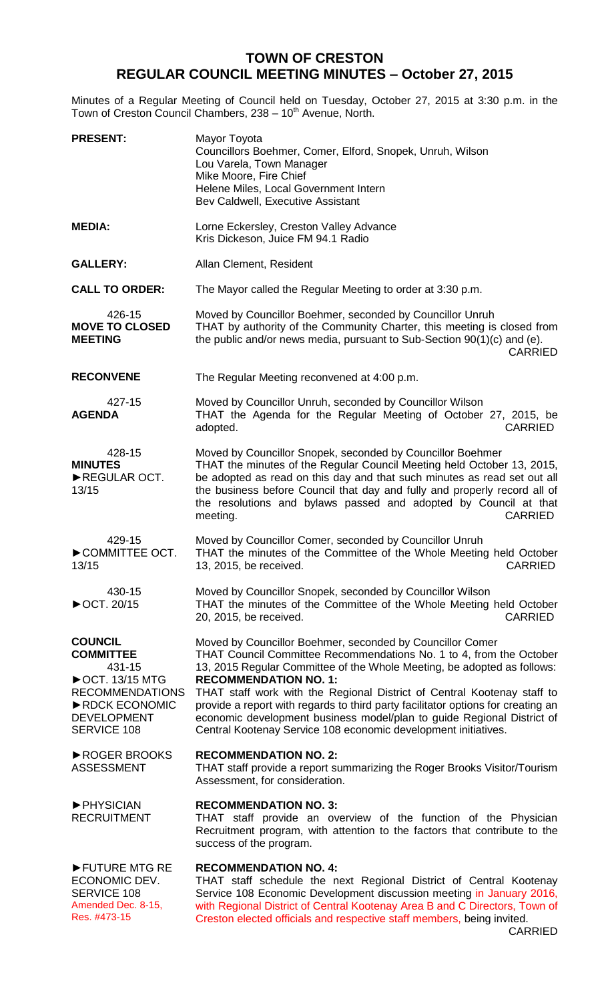## **TOWN OF CRESTON REGULAR COUNCIL MEETING MINUTES – October 27, 2015**

Minutes of a Regular Meeting of Council held on Tuesday, October 27, 2015 at 3:30 p.m. in the Town of Creston Council Chambers, 238 - 10<sup>th</sup> Avenue, North.

| <b>PRESENT:</b>                                                                                                                                                 | Mayor Toyota<br>Councillors Boehmer, Comer, Elford, Snopek, Unruh, Wilson<br>Lou Varela, Town Manager<br>Mike Moore, Fire Chief<br>Helene Miles, Local Government Intern<br>Bev Caldwell, Executive Assistant                                                                                                                                                                                                                                                                                                                                          |
|-----------------------------------------------------------------------------------------------------------------------------------------------------------------|--------------------------------------------------------------------------------------------------------------------------------------------------------------------------------------------------------------------------------------------------------------------------------------------------------------------------------------------------------------------------------------------------------------------------------------------------------------------------------------------------------------------------------------------------------|
| <b>MEDIA:</b>                                                                                                                                                   | Lorne Eckersley, Creston Valley Advance<br>Kris Dickeson, Juice FM 94.1 Radio                                                                                                                                                                                                                                                                                                                                                                                                                                                                          |
| <b>GALLERY:</b>                                                                                                                                                 | Allan Clement, Resident                                                                                                                                                                                                                                                                                                                                                                                                                                                                                                                                |
| <b>CALL TO ORDER:</b>                                                                                                                                           | The Mayor called the Regular Meeting to order at 3:30 p.m.                                                                                                                                                                                                                                                                                                                                                                                                                                                                                             |
| 426-15<br><b>MOVE TO CLOSED</b><br><b>MEETING</b>                                                                                                               | Moved by Councillor Boehmer, seconded by Councillor Unruh<br>THAT by authority of the Community Charter, this meeting is closed from<br>the public and/or news media, pursuant to Sub-Section 90(1)(c) and (e).<br><b>CARRIED</b>                                                                                                                                                                                                                                                                                                                      |
| <b>RECONVENE</b>                                                                                                                                                | The Regular Meeting reconvened at 4:00 p.m.                                                                                                                                                                                                                                                                                                                                                                                                                                                                                                            |
| 427-15<br><b>AGENDA</b>                                                                                                                                         | Moved by Councillor Unruh, seconded by Councillor Wilson<br>THAT the Agenda for the Regular Meeting of October 27, 2015, be<br><b>CARRIED</b><br>adopted.                                                                                                                                                                                                                                                                                                                                                                                              |
| 428-15<br><b>MINUTES</b><br>REGULAR OCT.<br>13/15                                                                                                               | Moved by Councillor Snopek, seconded by Councillor Boehmer<br>THAT the minutes of the Regular Council Meeting held October 13, 2015,<br>be adopted as read on this day and that such minutes as read set out all<br>the business before Council that day and fully and properly record all of<br>the resolutions and bylaws passed and adopted by Council at that<br>meeting.<br><b>CARRIED</b>                                                                                                                                                        |
| 429-15<br>COMMITTEE OCT.<br>13/15                                                                                                                               | Moved by Councillor Comer, seconded by Councillor Unruh<br>THAT the minutes of the Committee of the Whole Meeting held October<br><b>CARRIED</b><br>13, 2015, be received.                                                                                                                                                                                                                                                                                                                                                                             |
| 430-15<br>▶OCT. 20/15                                                                                                                                           | Moved by Councillor Snopek, seconded by Councillor Wilson<br>THAT the minutes of the Committee of the Whole Meeting held October<br>20, 2015, be received.<br><b>CARRIED</b>                                                                                                                                                                                                                                                                                                                                                                           |
| <b>COUNCIL</b><br><b>COMMITTEE</b><br>431-15<br>$\triangleright$ OCT. 13/15 MTG<br><b>RECOMMENDATIONS</b><br>RDCK ECONOMIC<br>DEVELOPMENT<br><b>SERVICE 108</b> | Moved by Councillor Boehmer, seconded by Councillor Comer<br>THAT Council Committee Recommendations No. 1 to 4, from the October<br>13, 2015 Regular Committee of the Whole Meeting, be adopted as follows:<br><b>RECOMMENDATION NO. 1:</b><br>THAT staff work with the Regional District of Central Kootenay staff to<br>provide a report with regards to third party facilitator options for creating an<br>economic development business model/plan to guide Regional District of<br>Central Kootenay Service 108 economic development initiatives. |
| ▶ ROGER BROOKS<br>ASSESSMENT                                                                                                                                    | <b>RECOMMENDATION NO. 2:</b><br>THAT staff provide a report summarizing the Roger Brooks Visitor/Tourism<br>Assessment, for consideration.                                                                                                                                                                                                                                                                                                                                                                                                             |
| PHYSICIAN<br><b>RECRUITMENT</b>                                                                                                                                 | <b>RECOMMENDATION NO. 3:</b><br>THAT staff provide an overview of the function of the Physician<br>Recruitment program, with attention to the factors that contribute to the<br>success of the program.                                                                                                                                                                                                                                                                                                                                                |
| FUTURE MTG RE<br>ECONOMIC DEV.<br><b>SERVICE 108</b><br>Amended Dec. 8-15,<br>Res. #473-15                                                                      | <b>RECOMMENDATION NO. 4:</b><br>THAT staff schedule the next Regional District of Central Kootenay<br>Service 108 Economic Development discussion meeting in January 2016,<br>with Regional District of Central Kootenay Area B and C Directors, Town of<br>Creston elected officials and respective staff members, being invited.                                                                                                                                                                                                                     |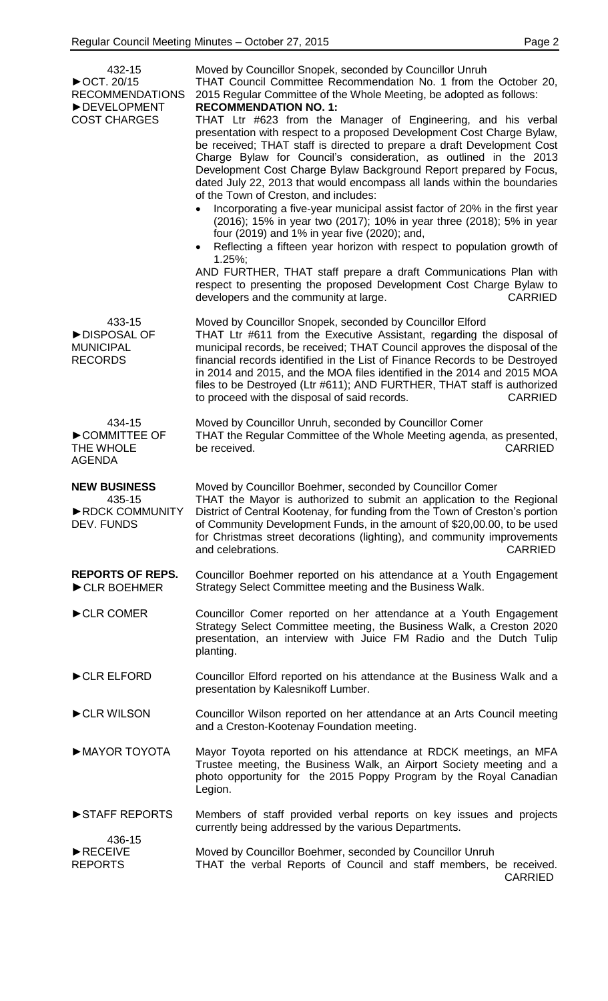| 432-15<br>▶OCT. 20/15                                         | Moved by Councillor Snopek, seconded by Councillor Unruh<br>THAT Council Committee Recommendation No. 1 from the October 20,                                                                                                                                                                                                                                                                                                                                                                                                                                                                                                                                                                                                                                                                                                                                                                                                                                                           |
|---------------------------------------------------------------|----------------------------------------------------------------------------------------------------------------------------------------------------------------------------------------------------------------------------------------------------------------------------------------------------------------------------------------------------------------------------------------------------------------------------------------------------------------------------------------------------------------------------------------------------------------------------------------------------------------------------------------------------------------------------------------------------------------------------------------------------------------------------------------------------------------------------------------------------------------------------------------------------------------------------------------------------------------------------------------|
| <b>RECOMMENDATIONS</b><br>DEVELOPMENT                         | 2015 Regular Committee of the Whole Meeting, be adopted as follows:<br><b>RECOMMENDATION NO. 1:</b>                                                                                                                                                                                                                                                                                                                                                                                                                                                                                                                                                                                                                                                                                                                                                                                                                                                                                    |
| <b>COST CHARGES</b>                                           | THAT Ltr #623 from the Manager of Engineering, and his verbal<br>presentation with respect to a proposed Development Cost Charge Bylaw,<br>be received; THAT staff is directed to prepare a draft Development Cost<br>Charge Bylaw for Council's consideration, as outlined in the 2013<br>Development Cost Charge Bylaw Background Report prepared by Focus,<br>dated July 22, 2013 that would encompass all lands within the boundaries<br>of the Town of Creston, and includes:<br>Incorporating a five-year municipal assist factor of 20% in the first year<br>(2016); 15% in year two (2017); 10% in year three (2018); 5% in year<br>four (2019) and 1% in year five (2020); and,<br>Reflecting a fifteen year horizon with respect to population growth of<br>$1.25\%;$<br>AND FURTHER, THAT staff prepare a draft Communications Plan with<br>respect to presenting the proposed Development Cost Charge Bylaw to<br>developers and the community at large.<br><b>CARRIED</b> |
| 433-15<br>DISPOSAL OF<br><b>MUNICIPAL</b><br><b>RECORDS</b>   | Moved by Councillor Snopek, seconded by Councillor Elford<br>THAT Ltr #611 from the Executive Assistant, regarding the disposal of<br>municipal records, be received; THAT Council approves the disposal of the<br>financial records identified in the List of Finance Records to be Destroyed<br>in 2014 and 2015, and the MOA files identified in the 2014 and 2015 MOA<br>files to be Destroyed (Ltr #611); AND FURTHER, THAT staff is authorized<br><b>CARRIED</b><br>to proceed with the disposal of said records.                                                                                                                                                                                                                                                                                                                                                                                                                                                                |
| 434-15<br>COMMITTEE OF<br>THE WHOLE<br><b>AGENDA</b>          | Moved by Councillor Unruh, seconded by Councillor Comer<br>THAT the Regular Committee of the Whole Meeting agenda, as presented,<br>be received.<br><b>CARRIED</b>                                                                                                                                                                                                                                                                                                                                                                                                                                                                                                                                                                                                                                                                                                                                                                                                                     |
| <b>NEW BUSINESS</b><br>435-15<br>RDCK COMMUNITY<br>DEV. FUNDS | Moved by Councillor Boehmer, seconded by Councillor Comer<br>THAT the Mayor is authorized to submit an application to the Regional<br>District of Central Kootenay, for funding from the Town of Creston's portion<br>of Community Development Funds, in the amount of \$20,00.00, to be used<br>for Christmas street decorations (lighting), and community improvements<br>and celebrations.<br><b>CARRIED</b>                                                                                                                                                                                                                                                                                                                                                                                                                                                                                                                                                                        |
| <b>REPORTS OF REPS.</b><br>CLR BOEHMER                        | Councillor Boehmer reported on his attendance at a Youth Engagement<br>Strategy Select Committee meeting and the Business Walk.                                                                                                                                                                                                                                                                                                                                                                                                                                                                                                                                                                                                                                                                                                                                                                                                                                                        |
| CLR COMER                                                     | Councillor Comer reported on her attendance at a Youth Engagement<br>Strategy Select Committee meeting, the Business Walk, a Creston 2020<br>presentation, an interview with Juice FM Radio and the Dutch Tulip<br>planting.                                                                                                                                                                                                                                                                                                                                                                                                                                                                                                                                                                                                                                                                                                                                                           |
| CLR ELFORD                                                    | Councillor Elford reported on his attendance at the Business Walk and a<br>presentation by Kalesnikoff Lumber.                                                                                                                                                                                                                                                                                                                                                                                                                                                                                                                                                                                                                                                                                                                                                                                                                                                                         |
| CLR WILSON                                                    | Councillor Wilson reported on her attendance at an Arts Council meeting<br>and a Creston-Kootenay Foundation meeting.                                                                                                                                                                                                                                                                                                                                                                                                                                                                                                                                                                                                                                                                                                                                                                                                                                                                  |
| MAYOR TOYOTA                                                  | Mayor Toyota reported on his attendance at RDCK meetings, an MFA<br>Trustee meeting, the Business Walk, an Airport Society meeting and a<br>photo opportunity for the 2015 Poppy Program by the Royal Canadian<br>Legion.                                                                                                                                                                                                                                                                                                                                                                                                                                                                                                                                                                                                                                                                                                                                                              |
| STAFF REPORTS                                                 | Members of staff provided verbal reports on key issues and projects<br>currently being addressed by the various Departments.                                                                                                                                                                                                                                                                                                                                                                                                                                                                                                                                                                                                                                                                                                                                                                                                                                                           |
| 436-15<br>RECEIVE<br><b>REPORTS</b>                           | Moved by Councillor Boehmer, seconded by Councillor Unruh                                                                                                                                                                                                                                                                                                                                                                                                                                                                                                                                                                                                                                                                                                                                                                                                                                                                                                                              |